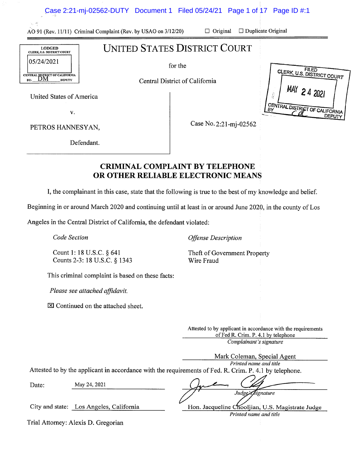AO 91 (Rev. 11/11) Criminal Complaint (Rev. by USAO on 3/12/20) ❑ Original ❑ Duplicate Original

**CLERK, U.S. DISTRICT COURT** 

MAY 2 4 2021

<u>DEPUTY</u>

CENTRAL DISTRICT OF CALIFORNIA

# LODGED CLERK, US. DISTRICT COURT 05/24/2021 CENTRAL DISTRICT OF CALIFORNIA BY: DM DEPUTY

for the

UNITED STATES DISTRICT COURT

Central District of California

United States of America

V.

PETROS HANNESYAN,

Case No. 2:21-mj-02562

Defendant.

# CRIMINAL COMPLAINT BY TELEPHONE OR OTHER RELIABLE ELECTRONIC MEANS

I, the complainant in this case, state that the following is true to the best of my knowledge and belief.

Beginning in or around March 2020 and continuing until at least in or around June 2020, in the county of Los

Angeles in the Central District of California, the defendant violated:

Code Section

Count 1: 18 U.S.C. § 641 Counts 2-3: 18 U.S.C. § 1343 Offense Description

Theft of Government Property Wire Fraud

This criminal complaint is based on these facts:

Please see attached affidavit.

 $\boxtimes$  Continued on the attached sheet.

Attested to by applicant in accordance with the requirements of Fed R. Crim. P. 4.1 by telephone

Complainant's signature

Hon. Jacqueline Chooljian, U.S. Magistrate Judge Printed name and title

|       |              | Mark Coleman, Special Agent                                                                            |
|-------|--------------|--------------------------------------------------------------------------------------------------------|
|       |              | Printed name and title                                                                                 |
|       |              | Attested to by the applicant in accordance with the requirements of Fed. R. Crim. P. 4.1 by telephone. |
| Date: | May 24, 2021 |                                                                                                        |
|       |              | Judge's Rignature                                                                                      |

City and state: Los Angeles, California

Trial Attorney: Alexis D. Gregorian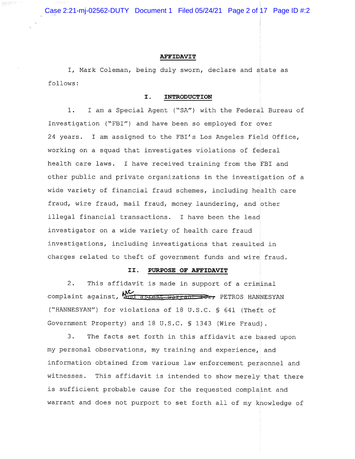Case 2:21-mj-02562-DUTY Document 1 Filed 05/24/21 Page 2 of 17 Page ID #:2

32513

#### AFFIDAVIT

I, Mark Coleman, being duly sworn, declare and state as follows:

#### I. INTRODUCTION

1. I am a Special Agent ("SA") with the Federal Bureau of Investigation ("FBI") and have been so employed for over 24 years. I am assigned to the FBI's Los Angeles Field Office, working on a squad that investigates violations of federal health care laws. I have received training from the FBI and other public and private organizations in the investigation of a wide variety of financial fraud schemes, including health care fraud, wire fraud, mail fraud, money laundering, and other illegal financial transactions. I have been the lead investigator on a wide variety of health care fraud investigations, including investigations that resulted in charges related to theft of government funds and wire fraud.

#### II. PURPOSE OF AFFIDAVIT

2. This affidavit is made in support of a criminal complaint against,  $\sum_{\text{and} \text{arrest-warent}}$  PETROS HANNESYAN ("HANNESYAN") for violations of 18 U.S.C. § 641 (Theft of Government Property) and 18 U.S.C. § 1343 (Wire Fraud).

3. The facts set forth in this affidavit are based upon my personal observations, my training and experience, and information obtained from various law enforcement personnel and witnesses. This affidavit is intended to show merely that there is sufficient probable cause for the requested complaint and warrant and does not purport to set forth all of my knowledge of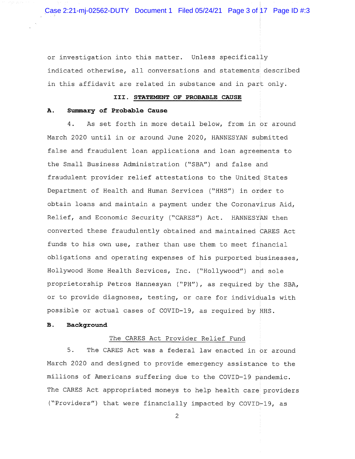Case 2:21-mj-02562-DUTY Document 1 Filed 05/24/21 Page 3 of 17 Page ID #:3

or investigation into this matter. Unless specifically indicated otherwise, all conversations and statements described in this affidavit are related in substance and in part only.

## III. STATEMENT OF PROBABLE CAUSE

#### A. Summary of Probable Cause

4. As set forth in more detail below, from in or around March 2020 until in or around June 2020, HANNESYAN submitted false and fraudulent loan applications and loan agreements to the Small Business Administration ("SBA") and false and fraudulent provider relief attestations to the United States Department of Health and Human Services ("HHS") in order to obtain loans and maintain a payment under the Coronavirus Aid, Relief, and Economic Security ("CARES") Act. HANNESYAN then converted these fraudulently obtained and maintained CARES Act funds to his own use, rather than use them to meet financial obligations and operating expenses of his purported businesses, Hollywood Home Health Services, Inc. ("Hollywood") and sole proprietorship Petros Hannesyan ("PH"), as required by the SBA, or to provide diagnoses, testing, or care for individuals with possible or actual cases of COVID-19, as required by HHS.

## B. Background

## The CARES Act Provider Relief Fund

5. The CARES Act was a federal law enacted in or around March 2020 and designed to provide emergency assistance to the millions of Americans suffering due to the COVID-19 pandemic. The CARES Act appropriated moneys to help health care providers ("Providers") that were financially impacted by COVID-19, as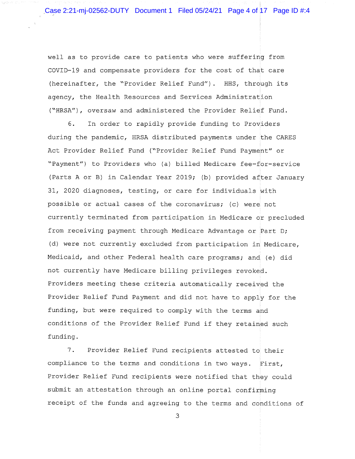well as to provide care to patients who were suffering from COVID-19 and compensate providers for the cost of that care (hereinafter, the "Provider Relief Fund"). HHS, through its agency, the Health Resources and Services Administration ("HRSA"), oversaw and administered the Provider Relief Fund.

6. In order to rapidly provide funding to Providers during the pandemic, HRSA distributed payments under the CARES Act Provider Relief Fund ("Provider Relief Fund Payment" or "Payment") to Providers who (a) billed Medicare fee-for-service (Parts A or B) in Calendar Year 2019; (b) provided after January 31, 2020 diagnoses, testing, or care for individuals with possible or actual cases of the coronavirus; (c) were not currently terminated from participation in Medicare or precluded from receiving payment through Medicare Advantage or Part D; (d) were not currently excluded from participation in Medicare, Medicaid, and other Federal health care programs; and (e) did not currently have Medicare billing privileges revoked. Providers meeting these criteria automatically received the Provider Relief Fund Payment and did not have to apply for the funding, but were required to comply with the terms and conditions of the Provider Relief Fund if they retained such funding.

7. Provider Relief Fund recipients attested to their compliance to the terms and conditions in two ways. First, Provider Relief Fund recipients were notified that they could submit an attestation through an online portal confirming receipt of the funds and agreeing to the terms and conditions of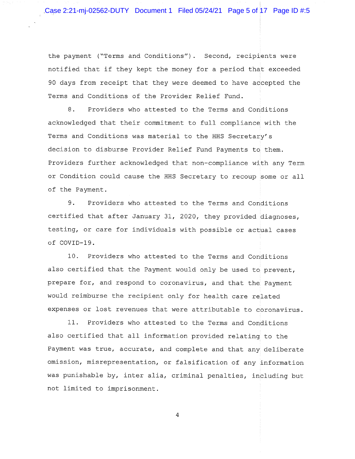the payment ("Terms and Conditions"). Second, recipients were notified that if they kept the money for a period that exceeded 90 days from receipt that they were deemed to have accepted the Terms and Conditions of the Provider Relief Fund.

8. Providers who attested to the Terms and Conditions acknowledged that their commitment to full compliance with the Terms and Conditions was material to the HHS Secretary's decision to disburse Provider Relief Fund Payments to them. Providers further acknowledged that non-compliance with any Term or Condition could cause the HHS Secretary to recoup some or all of the Payment.

9. Providers who attested to the Terms and Conditions certified that after January 31, 2020, they provided diagnoses, testing, or care for individuals with possible or actual cases of COVID-19.

10. Providers who attested to the Terms and Conditions also certified that the Payment would only be used to prevent, prepare for, and respond to coronavirus, and that the Payment would reimburse the recipient only for health care related expenses or lost revenues that were attributable to coronavirus.

11. Providers who attested to the Terms and Conditions also certified that all information provided relating to the Payment was true, accurate, and complete and that any deliberate omission, misrepresentation, or falsification of any information was punishable by, inter alia, criminal penalties, including but not limited to imprisonment.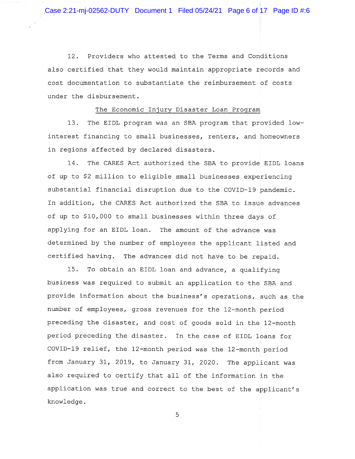Case 2:21-mj-02562-DUTY Document 1 Filed 05/24/21 Page 6 of 17 Page ID #:6

12. Providers who attested to the Terms and Conditions also certified that they would maintain appropriate records and cost documentation to substantiate the reimbursement of costs under the disbursement.

## The Economic Injury Disaster Loan Program

13. The EIDL program was an SBA program that provided lowinterest financing to small businesses, renters, and homeowners in regions affected by declared disasters.

14. The CARES Act authorized the SBA to provide EIDL loans of up to \$2 million to eligible small businesses experiencing substantial financial disruption due to the COVID-19 pandemic. In addition, the CARES Act authorized the SBA to issue advances of up to \$10,000 to small businesses within three days of applying for an EIDL loan. The amount of the advance was determined by the number of employees the applicant listed and certified having. The advances did not have to be repaid.

15. To obtain an EIDL loan and advance, a qualifying business was required to submit an application to the SBA and provide information about the business's operations, such as the number of employees, gross revenues for the 12-month period preceding the disaster, and cost of goods sold in the 12-month period preceding the disaster. In the case of EIDL loans for COVID-19 relief, the 12-month period was the 12-month period from January 31, 2019, to January 31, 2020. The applicant was also required to certify that all of the information in the application was true and correct to the best of the applicant's knowledge.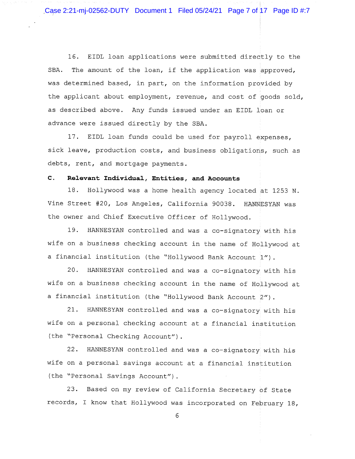Case 2:21-mj-02562-DUTY Document 1 Filed 05/24/21 Page 7 of 17 Page ID #:7

16. EIDL loan applications were submitted directly to the SBA. The amount of the loan, if the application was approved, was determined based, in part, on the information provided by the applicant about employment, revenue, and cost of goods sold, as described above. Any funds issued under an EIDL loan or advance were issued directly by the SBA.

17. EIDL loan funds could be used for payroll expenses, sick leave, production costs, and business obligations, such as debts, rent, and mortgage payments.

# C. Relevant Individual, Entities, and Accounts

18. Hollywood was a home health agency located at 1253 N. Vine Street #20, Los Angeles, California 90038. HANNESYAN was the owner and Chief Executive Officer of Hollywood.

19. HANNESYAN controlled and was a co-signatory with his wife on a business checking account in the name of Hollywood at a financial institution (the "Hollywood Bank Account 1").

20. HANNESYAN controlled and was a co-signatory with his wife on a business checking account in the name of Hollywood at a financial institution (the "Hollywood Bank Account 2").

21. HANNESYAN controlled and was a co-signatory with his wife on a personal checking account at a financial institution (the "Personal Checking Account").

22. HANNESYAN controlled and was a co-signatory with his wife on a personal savings account at a financial institution (the "Personal Savings Account").

23. Based on my review of California Secretary of State records, I know that Hollywood was incorporated on February 18,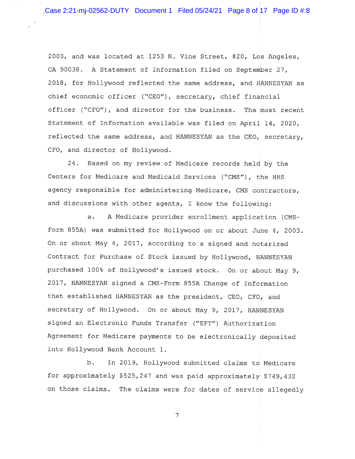2003, and was located at 1253 N. Vine Street, #20, Los Angeles, CA 90038. A Statement of Information filed on September 27, 2018, for Hollywood reflected the same address, and HANNESYAN as chief economic officer ("CEO"), secretary, chief financial officer ("CFO"), and director for the business. The most recent Statement of Information available was filed on April 14, 2020, reflected the same address, and HANNESYAN as the CEO, secretary, CFO, and director of Hollywood.

24. Based on my review of Medicare records held by the Centers for Medicare and Medicaid Services ("CMS"), the HHS agency responsible for administering Medicare, CMS contractors, and discussions with other agents, I know the following:

a. A Medicare provider enrollment application (CMS-Form 855A) was submitted for Hollywood on or about June 4, 2003. On or about May 4, 2017, according to a signed and notarized Contract for Purchase of Stock issued by Hollywood, HANNESYAN purchased 100% of Hollywood's issued stock. On or about May 9, 2017, HANNESYAN signed a CMS-Form 855A Change of Information that established HANNESYAN as the president, CEO, CFO, and secretary of Hollywood. On or about May 9, 2017, HANNESYAN signed an Electronic Funds Transfer ("EFT") Authorization Agreement for Medicare payments to be electronically deposited into Hollywood Bank Account 1.

b. In 2019, Hollywood submitted claims to Medicare for approximately \$525,247 and was paid approximately \$749,432 on those claims. The claims were for dates of service allegedly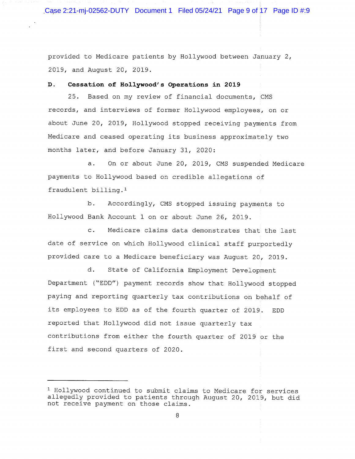Case 2:21-mj-02562-DUTY Document 1 Filed 05/24/21 Page 9 of 17 Page ID #:9

provided to Medicare patients by Hollywood between January 2, 2019, and August 20, 2019.

## D. Cessation of Hollywood's Operations in 2019

25. Based on my review of financial documents, CMS records, and interviews of former Hollywood employees, on or about June 20, 2019, Hollywood stopped receiving payments from Medicare and ceased operating its business approximately two months later, and before January 31, 2020:

a. On or about June 20, 2019, CMS suspended Medicare payments to Hollywood based on credible allegations of fraudulent billing.'

b. Accordingly, CMS stopped issuing payments to Hollywood Bank Account 1 on or about June 26, 2019.

c. Medicare claims data demonstrates that the last date of service on which Hollywood clinical staff purportedly provided care to a Medicare beneficiary was August 20, 2019.

d. State of California Employment Development Department ("EDD") payment records show that Hollywood stopped paying and reporting quarterly tax contributions on behalf of its employees to EDD as of the fourth quarter of 2019. EDD reported that Hollywood did not issue quarterly tax contributions from either the fourth quarter of 2019 or the first and second quarters of 2020.

<sup>1</sup> Hollywood continued to submit claims to Medicare for services allegedly provided to patients through August 20, 2019, but did not receive payment on those claims.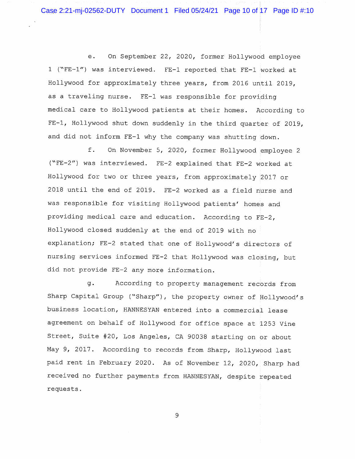e. On September 22, 2020, former Hollywood employee 1 ("FE-1") was interviewed. FE-1 reported that FE-1 worked at Hollywood for approximately three years, from 2016 until 2019, as a traveling nurse. FE-1 was responsible for providing medical care to Hollywood patients at their homes. According to FE-1, Hollywood shut down suddenly in the third quarter of 2019, and did not inform FE-1 why the company was shutting down.

f. On November 5, 2020, former Hollywood employee 2 ("FE-2") was interviewed. FE-2 explained that FE-2 worked at Hollywood for two or three years, from approximately 2017 or 2018 until the end of 2019. FE-2 worked as a field nurse and was responsible for visiting Hollywood patients' homes and providing medical care and education. According to FE-2, Hollywood closed suddenly at the end of 2019 with no explanation; FE-2 stated that one of Hollywood's directors of nursing services informed FE-2 that Hollywood was closing, but did not provide FE-2 any more information.

g. According to property management records from Sharp Capital Group ("Sharp"), the property owner of Hollywood's business location, HANNESYAN entered into a commercial lease agreement on behalf of Hollywood for office space at 1253 Vine Street, Suite #20, Los Angeles, CA 90038 starting on or about May 9, 2017. According to records from Sharp, Hollywood last paid rent in February 2020. As of November 12, 2020, Sharp had received no further payments from HANNESYAN, despite repeated requests.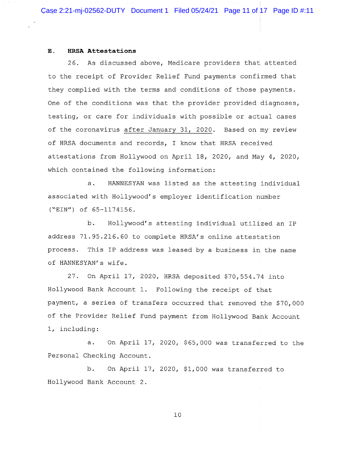#### E. HRSA Attestations

26. As discussed above, Medicare providers that attested to the receipt of Provider Relief Fund payments confirmed that they complied with the terms and conditions of those payments. One of the conditions was that the provider provided diagnoses, testing, or care for individuals with possible or actual cases of the coronavirus after January 31, 2020. Based on my review of HRSA documents and records, I know that HRSA received attestations from Hollywood on April 18, 2020, and May 4, 2020, which contained the following information:

a. HANNESYAN was listed as the attesting individual associated with Hollywood's employer identification number ("EIN") of 65-1174156.

b. Hollywood's attesting individual utilized an IP address 71.95.216.60 to complete HRSA's online attestation process. This IP address was leased by a business in the name of HANNESYAN's wife.

27. On April 17, 2020, HRSA deposited \$70,554.74 into Hollywood Bank Account 1. Following the receipt of that payment, a series of transfers occurred that removed the \$70,000 of the Provider Relief Fund payment from Hollywood Bank Account 1, including:

a. On April 17, 2020, \$65,000 was transferred to the Personal Checking Account.

b. On April 17, 2020, \$1,000 was transferred to Hollywood Bank Account 2.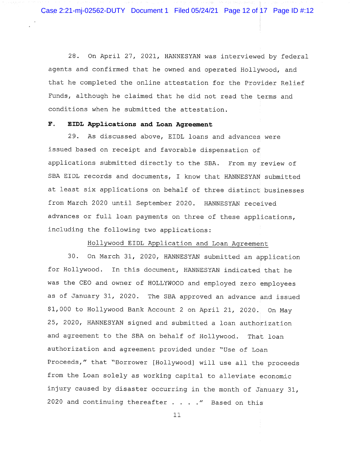Case 2:21-mj-02562-DUTY Document 1 Filed 05/24/21 Page 12 of 17 Page ID #:12

28. On April 27, 2021, HANNESYAN was interviewed by federal agents and confirmed that he owned and operated Hollywood, and that he completed the online attestation for the Provider Relief Funds, although he claimed that he did not read the terms and conditions when he submitted the attestation.

# F. EIDL Applications and Loan Agreement

29. As discussed above, EIDL loans and advances were issued based on receipt and favorable dispensation of applications submitted directly to the SBA. From my review of SBA EIDL records and documents, I know that HANNESYAN submitted at least six applications on behalf of three distinct businesses from March 2020 until September 2020. HANNESYAN received advances or full loan payments on three of these applications, including the following two applications:

#### Hollywood EIDL Application and Loan Agreement

30. On March 31, 2020, HANNESYAN submitted an application for Hollywood. In this document, HANNESYAN indicated that he was the CEO and owner of HOLLYWOOD and employed zero employees as of January 31, 2020. The SBA approved an advance and issued \$1,000 to Hollywood Bank Account 2 on April 21, 2020. On May 25, 2020, HANNESYAN signed and submitted a loan authorization and agreement to the SBA on behalf of Hollywood. That loan authorization and agreement provided under "Use of Loan Proceeds," that "Borrower [Hollywood] will use all the proceeds from the Loan solely as working capital to alleviate economic injury caused by disaster occurring in the month of January 31, 2020 and continuing thereafter  $\ldots$  . . " Based on this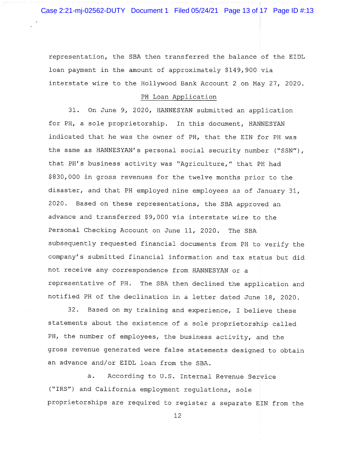Case 2:21-mj-02562-DUTY Document 1 Filed 05/24/21 Page 13 of 17 Page ID #:13

representation, the SBA then transferred the balance of the EIDL loan payment in the amount of approximately \$149,900 via interstate wire to the Hollywood Bank Account 2 on May 27, 2020.

#### PH Loan Application

31. On June 9, 2020, HANNESYAN submitted an application for PH, a sole proprietorship. In this document, HANNESYAN indicated that he was the owner of PH, that the EIN for PH was the same as HANNESYAN's personal social security number ("SSN"), that PH's business activity was "Agriculture," that PH had \$830,000 in gross revenues for the twelve months prior to the disaster, and that PH employed nine employees as of January 31, 2020. Based on these representations, the SBA approved an advance and transferred \$9,000 via interstate wire to the Personal Checking Account on June 11, 2020. The SBA subsequently requested financial documents from PH to verify the company's submitted financial information and tax status but did not receive any correspondence from HANNESYAN or a representative of PH. The SBA then declined the application and notified PH of the declination in a letter dated June 18, 202O.

32. Based on my training and experience, I believe these statements about the existence of a sole proprietorship called PH, the number of employees, the business activity, and the gross revenue generated were false statements designed to obtain an advance and/or EIDL loan from the SBA.

a. According to U.S. Internal Revenue Service ("IRS") and California employment regulations, sole proprietorships are required to register a separate EIN from the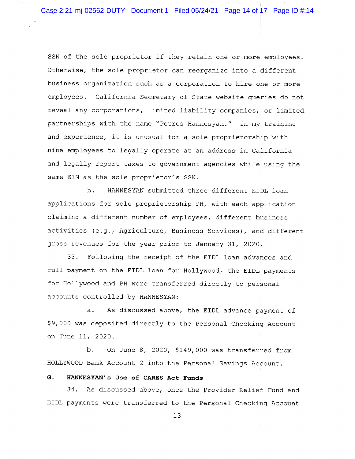SSN of the sole proprietor if they retain one or more employees. Otherwise, the sole proprietor can reorganize into a different business organization such as a corporation to hire one or more employees. California Secretary of State website queries do not reveal any corporations, limited liability companies, or limited partnerships with the name "Petros Hannesyan." In my training and experience, it is unusual for a sole proprietorship with nine employees to legally operate at an address in California and legally report taxes to government agencies while using the same EIN as the sole proprietor's SSN.

b. HANNESYAN submitted three different EIDL loan applications for sole proprietorship PH, with each application claiming a different number of employees, different business activities (e.g., Agriculture, Business Services), and different gross revenues for the year prior to January 31, 2020.

33. Following the receipt of the EIDL loan advances and full payment on the EIDL loan for Hollywood, the EIDL payments for Hollywood and PH were transferred directly to personal accounts controlled by HANNESYAN:

a. As discussed above, the EIDL advance payment of \$9,000 was deposited directly to the Personal Checking Account on June 11, 2020.

b. On June 8, 2020, \$149,000 was transferred from HOLLYWOOD Bank Account 2 into the Personal Savings Account.

# G. HANNESYAN's Use of CARES Act Funds

34. As discussed above, once the Provider Relief Fund and EIDL payments were transferred to the Personal Checking Account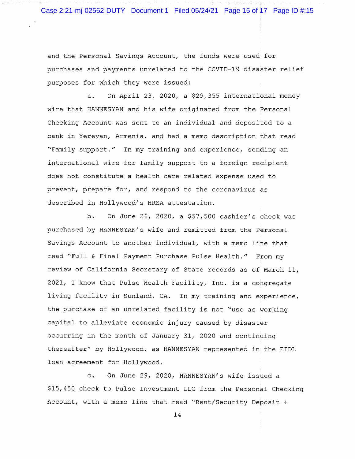Case 2:21-mj-02562-DUTY Document 1 Filed 05/24/21 Page 15 of 17 Page ID #:15